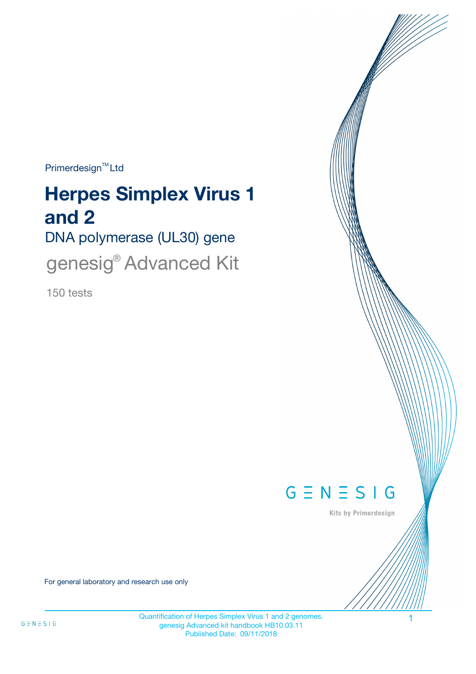$Primerdesign^{\text{TM}}$ Ltd

# **Herpes Simplex Virus 1 and 2**

DNA polymerase (UL30) gene

genesig<sup>®</sup> Advanced Kit

150 tests



Kits by Primerdesign

For general laboratory and research use only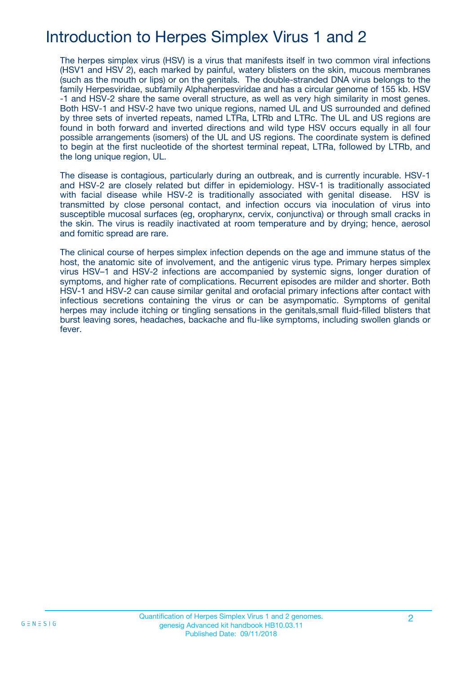# Introduction to Herpes Simplex Virus 1 and 2

The herpes simplex virus (HSV) is a virus that manifests itself in two common viral infections (HSV1 and HSV 2), each marked by painful, watery blisters on the skin, mucous membranes (such as the mouth or lips) or on the genitals. The double-stranded DNA virus belongs to the family Herpesviridae, subfamily Alphaherpesviridae and has a circular genome of 155 kb. HSV -1 and HSV-2 share the same overall structure, as well as very high similarity in most genes. Both HSV-1 and HSV-2 have two unique regions, named UL and US surrounded and defined by three sets of inverted repeats, named LTRa, LTRb and LTRc. The UL and US regions are found in both forward and inverted directions and wild type HSV occurs equally in all four possible arrangements (isomers) of the UL and US regions. The coordinate system is defined to begin at the first nucleotide of the shortest terminal repeat, LTRa, followed by LTRb, and the long unique region, UL.

The disease is contagious, particularly during an outbreak, and is currently incurable. HSV-1 and HSV-2 are closely related but differ in epidemiology. HSV-1 is traditionally associated with facial disease while HSV-2 is traditionally associated with genital disease. HSV is transmitted by close personal contact, and infection occurs via inoculation of virus into susceptible mucosal surfaces (eg, oropharynx, cervix, conjunctiva) or through small cracks in the skin. The virus is readily inactivated at room temperature and by drying; hence, aerosol and fomitic spread are rare.

The clinical course of herpes simplex infection depends on the age and immune status of the host, the anatomic site of involvement, and the antigenic virus type. Primary herpes simplex virus HSV–1 and HSV-2 infections are accompanied by systemic signs, longer duration of symptoms, and higher rate of complications. Recurrent episodes are milder and shorter. Both HSV-1 and HSV-2 can cause similar genital and orofacial primary infections after contact with infectious secretions containing the virus or can be asympomatic. Symptoms of genital herpes may include itching or tingling sensations in the genitals,small fluid-filled blisters that burst leaving sores, headaches, backache and flu-like symptoms, including swollen glands or fever.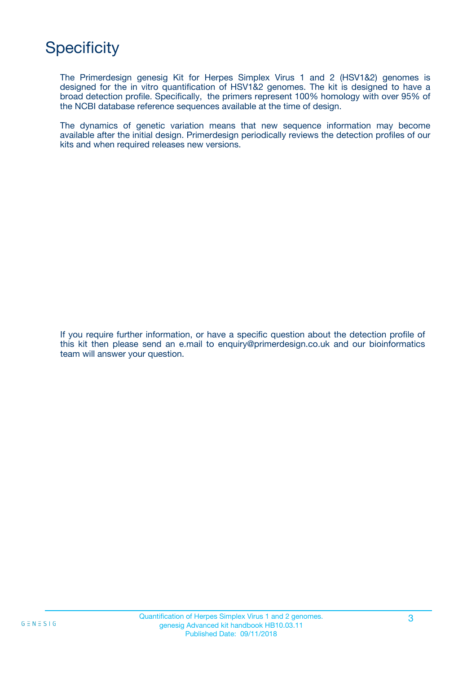# **Specificity**

The Primerdesign genesig Kit for Herpes Simplex Virus 1 and 2 (HSV1&2) genomes is designed for the in vitro quantification of HSV1&2 genomes. The kit is designed to have a broad detection profile. Specifically, the primers represent 100% homology with over 95% of the NCBI database reference sequences available at the time of design.

The dynamics of genetic variation means that new sequence information may become available after the initial design. Primerdesign periodically reviews the detection profiles of our kits and when required releases new versions.

If you require further information, or have a specific question about the detection profile of this kit then please send an e.mail to enquiry@primerdesign.co.uk and our bioinformatics team will answer your question.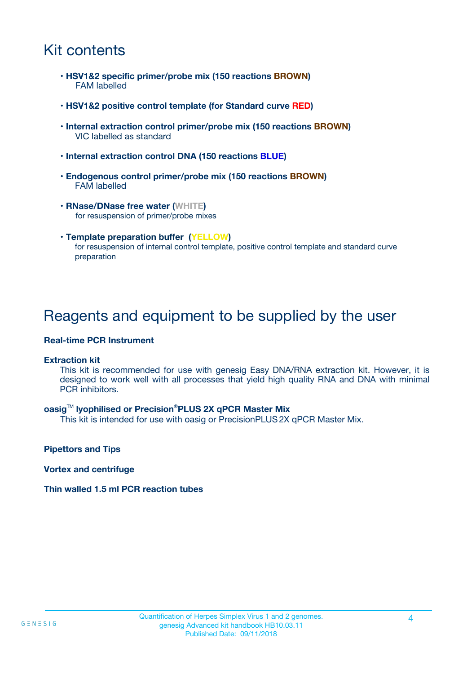### Kit contents

- **HSV1&2 specific primer/probe mix (150 reactions BROWN)** FAM labelled
- **HSV1&2 positive control template (for Standard curve RED)**
- **Internal extraction control primer/probe mix (150 reactions BROWN)** VIC labelled as standard
- **Internal extraction control DNA (150 reactions BLUE)**
- **Endogenous control primer/probe mix (150 reactions BROWN)** FAM labelled
- **RNase/DNase free water (WHITE)** for resuspension of primer/probe mixes
- **Template preparation buffer (YELLOW)** for resuspension of internal control template, positive control template and standard curve preparation

### Reagents and equipment to be supplied by the user

#### **Real-time PCR Instrument**

#### **Extraction kit**

This kit is recommended for use with genesig Easy DNA/RNA extraction kit. However, it is designed to work well with all processes that yield high quality RNA and DNA with minimal PCR inhibitors.

#### **oasig**TM **lyophilised or Precision**®**PLUS 2X qPCR Master Mix**

This kit is intended for use with oasig or PrecisionPLUS2X qPCR Master Mix.

**Pipettors and Tips**

**Vortex and centrifuge**

#### **Thin walled 1.5 ml PCR reaction tubes**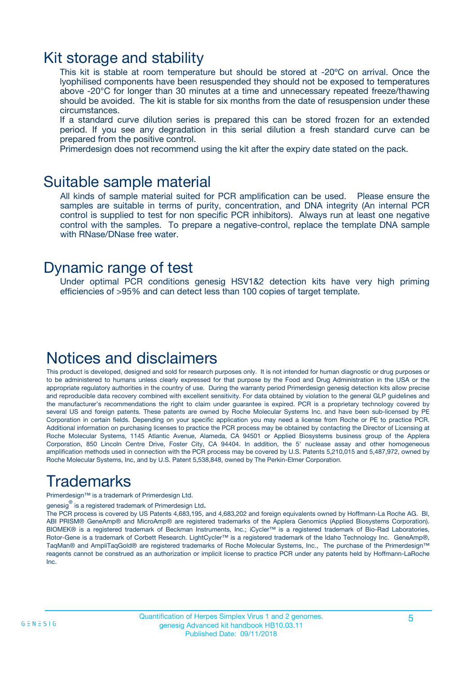### Kit storage and stability

This kit is stable at room temperature but should be stored at -20ºC on arrival. Once the lyophilised components have been resuspended they should not be exposed to temperatures above -20°C for longer than 30 minutes at a time and unnecessary repeated freeze/thawing should be avoided. The kit is stable for six months from the date of resuspension under these circumstances.

If a standard curve dilution series is prepared this can be stored frozen for an extended period. If you see any degradation in this serial dilution a fresh standard curve can be prepared from the positive control.

Primerdesign does not recommend using the kit after the expiry date stated on the pack.

### Suitable sample material

All kinds of sample material suited for PCR amplification can be used. Please ensure the samples are suitable in terms of purity, concentration, and DNA integrity (An internal PCR control is supplied to test for non specific PCR inhibitors). Always run at least one negative control with the samples. To prepare a negative-control, replace the template DNA sample with RNase/DNase free water.

### Dynamic range of test

Under optimal PCR conditions genesig HSV1&2 detection kits have very high priming efficiencies of >95% and can detect less than 100 copies of target template.

### Notices and disclaimers

This product is developed, designed and sold for research purposes only. It is not intended for human diagnostic or drug purposes or to be administered to humans unless clearly expressed for that purpose by the Food and Drug Administration in the USA or the appropriate regulatory authorities in the country of use. During the warranty period Primerdesign genesig detection kits allow precise and reproducible data recovery combined with excellent sensitivity. For data obtained by violation to the general GLP guidelines and the manufacturer's recommendations the right to claim under guarantee is expired. PCR is a proprietary technology covered by several US and foreign patents. These patents are owned by Roche Molecular Systems Inc. and have been sub-licensed by PE Corporation in certain fields. Depending on your specific application you may need a license from Roche or PE to practice PCR. Additional information on purchasing licenses to practice the PCR process may be obtained by contacting the Director of Licensing at Roche Molecular Systems, 1145 Atlantic Avenue, Alameda, CA 94501 or Applied Biosystems business group of the Applera Corporation, 850 Lincoln Centre Drive, Foster City, CA 94404. In addition, the 5' nuclease assay and other homogeneous amplification methods used in connection with the PCR process may be covered by U.S. Patents 5,210,015 and 5,487,972, owned by Roche Molecular Systems, Inc, and by U.S. Patent 5,538,848, owned by The Perkin-Elmer Corporation.

# Trademarks

Primerdesign™ is a trademark of Primerdesign Ltd.

genesig $^\circledR$  is a registered trademark of Primerdesign Ltd.

The PCR process is covered by US Patents 4,683,195, and 4,683,202 and foreign equivalents owned by Hoffmann-La Roche AG. BI, ABI PRISM® GeneAmp® and MicroAmp® are registered trademarks of the Applera Genomics (Applied Biosystems Corporation). BIOMEK® is a registered trademark of Beckman Instruments, Inc.; iCycler™ is a registered trademark of Bio-Rad Laboratories, Rotor-Gene is a trademark of Corbett Research. LightCycler™ is a registered trademark of the Idaho Technology Inc. GeneAmp®, TaqMan® and AmpliTaqGold® are registered trademarks of Roche Molecular Systems, Inc., The purchase of the Primerdesign™ reagents cannot be construed as an authorization or implicit license to practice PCR under any patents held by Hoffmann-LaRoche Inc.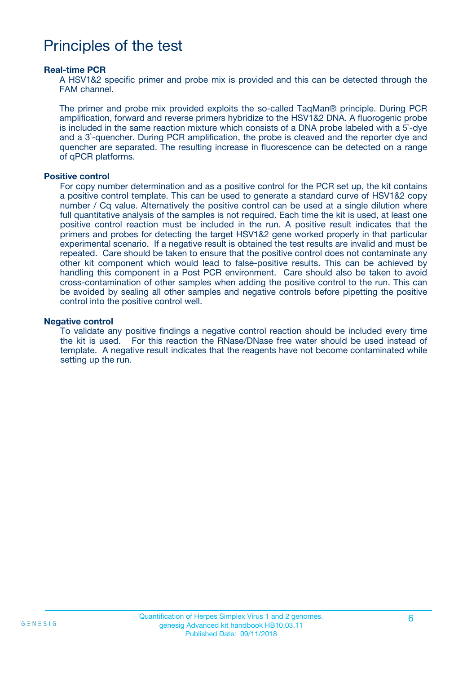### Principles of the test

#### **Real-time PCR**

A HSV1&2 specific primer and probe mix is provided and this can be detected through the FAM channel.

The primer and probe mix provided exploits the so-called TaqMan® principle. During PCR amplification, forward and reverse primers hybridize to the HSV1&2 DNA. A fluorogenic probe is included in the same reaction mixture which consists of a DNA probe labeled with a 5`-dye and a 3`-quencher. During PCR amplification, the probe is cleaved and the reporter dye and quencher are separated. The resulting increase in fluorescence can be detected on a range of qPCR platforms.

#### **Positive control**

For copy number determination and as a positive control for the PCR set up, the kit contains a positive control template. This can be used to generate a standard curve of HSV1&2 copy number / Cq value. Alternatively the positive control can be used at a single dilution where full quantitative analysis of the samples is not required. Each time the kit is used, at least one positive control reaction must be included in the run. A positive result indicates that the primers and probes for detecting the target HSV1&2 gene worked properly in that particular experimental scenario. If a negative result is obtained the test results are invalid and must be repeated. Care should be taken to ensure that the positive control does not contaminate any other kit component which would lead to false-positive results. This can be achieved by handling this component in a Post PCR environment. Care should also be taken to avoid cross-contamination of other samples when adding the positive control to the run. This can be avoided by sealing all other samples and negative controls before pipetting the positive control into the positive control well.

#### **Negative control**

To validate any positive findings a negative control reaction should be included every time the kit is used. For this reaction the RNase/DNase free water should be used instead of template. A negative result indicates that the reagents have not become contaminated while setting up the run.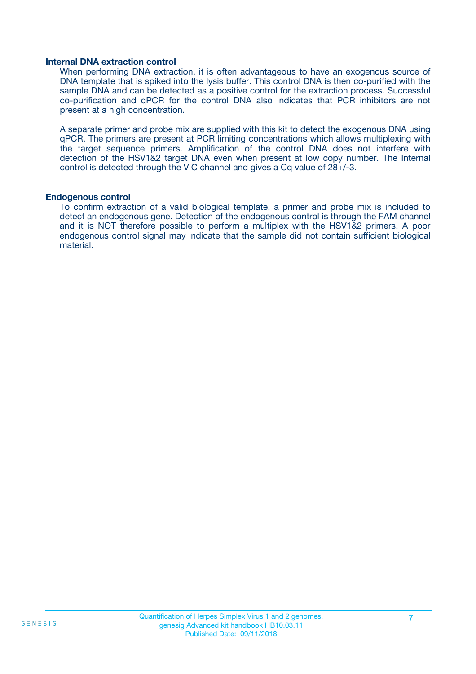#### **Internal DNA extraction control**

When performing DNA extraction, it is often advantageous to have an exogenous source of DNA template that is spiked into the lysis buffer. This control DNA is then co-purified with the sample DNA and can be detected as a positive control for the extraction process. Successful co-purification and qPCR for the control DNA also indicates that PCR inhibitors are not present at a high concentration.

A separate primer and probe mix are supplied with this kit to detect the exogenous DNA using qPCR. The primers are present at PCR limiting concentrations which allows multiplexing with the target sequence primers. Amplification of the control DNA does not interfere with detection of the HSV1&2 target DNA even when present at low copy number. The Internal control is detected through the VIC channel and gives a Cq value of 28+/-3.

#### **Endogenous control**

To confirm extraction of a valid biological template, a primer and probe mix is included to detect an endogenous gene. Detection of the endogenous control is through the FAM channel and it is NOT therefore possible to perform a multiplex with the HSV1&2 primers. A poor endogenous control signal may indicate that the sample did not contain sufficient biological material.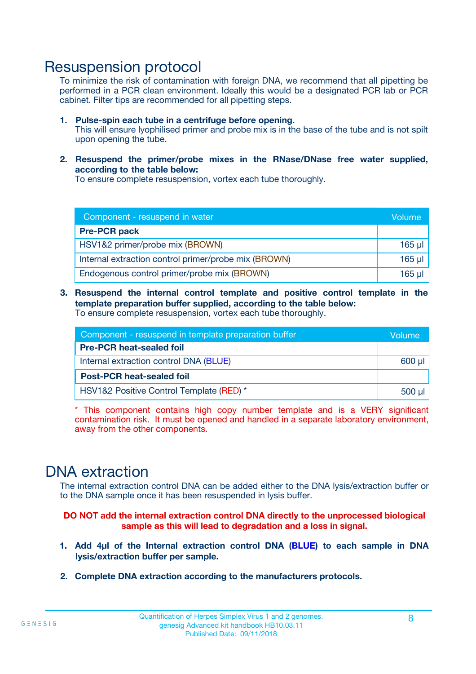### Resuspension protocol

To minimize the risk of contamination with foreign DNA, we recommend that all pipetting be performed in a PCR clean environment. Ideally this would be a designated PCR lab or PCR cabinet. Filter tips are recommended for all pipetting steps.

- **1. Pulse-spin each tube in a centrifuge before opening.** This will ensure lyophilised primer and probe mix is in the base of the tube and is not spilt upon opening the tube.
- **2. Resuspend the primer/probe mixes in the RNase/DNase free water supplied, according to the table below:**

To ensure complete resuspension, vortex each tube thoroughly.

| Component - resuspend in water                       |          |  |
|------------------------------------------------------|----------|--|
| <b>Pre-PCR pack</b>                                  |          |  |
| HSV1&2 primer/probe mix (BROWN)                      | $165$ µ  |  |
| Internal extraction control primer/probe mix (BROWN) | $165$ µl |  |
| Endogenous control primer/probe mix (BROWN)          | 165 µl   |  |

**3. Resuspend the internal control template and positive control template in the template preparation buffer supplied, according to the table below:** To ensure complete resuspension, vortex each tube thoroughly.

| Component - resuspend in template preparation buffer |  |  |  |
|------------------------------------------------------|--|--|--|
| <b>Pre-PCR heat-sealed foil</b>                      |  |  |  |
| Internal extraction control DNA (BLUE)               |  |  |  |
| <b>Post-PCR heat-sealed foil</b>                     |  |  |  |
| HSV1&2 Positive Control Template (RED) *             |  |  |  |

\* This component contains high copy number template and is a VERY significant contamination risk. It must be opened and handled in a separate laboratory environment, away from the other components.

### DNA extraction

The internal extraction control DNA can be added either to the DNA lysis/extraction buffer or to the DNA sample once it has been resuspended in lysis buffer.

**DO NOT add the internal extraction control DNA directly to the unprocessed biological sample as this will lead to degradation and a loss in signal.**

- **1. Add 4µl of the Internal extraction control DNA (BLUE) to each sample in DNA lysis/extraction buffer per sample.**
- **2. Complete DNA extraction according to the manufacturers protocols.**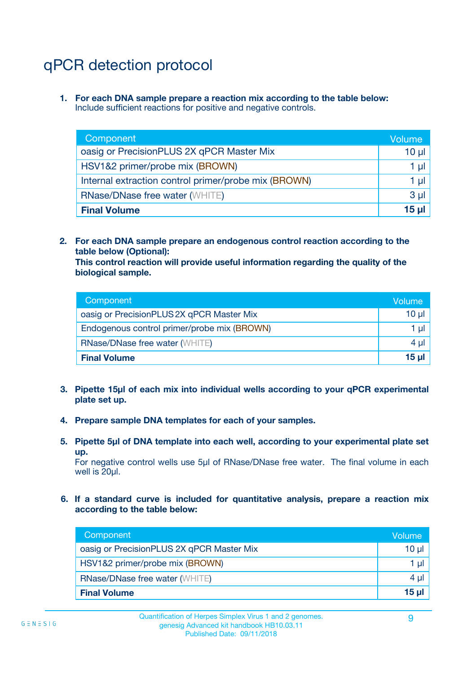# qPCR detection protocol

**1. For each DNA sample prepare a reaction mix according to the table below:** Include sufficient reactions for positive and negative controls.

| Component                                            | Volume   |
|------------------------------------------------------|----------|
| oasig or PrecisionPLUS 2X qPCR Master Mix            | 10 $\mu$ |
| HSV1&2 primer/probe mix (BROWN)                      | 1 µI     |
| Internal extraction control primer/probe mix (BROWN) | 1 µl     |
| <b>RNase/DNase free water (WHITE)</b>                | $3 \mu$  |
| <b>Final Volume</b>                                  | 15 µl    |

**2. For each DNA sample prepare an endogenous control reaction according to the table below (Optional):**

**This control reaction will provide useful information regarding the quality of the biological sample.**

| Component                                   | Volume          |
|---------------------------------------------|-----------------|
| oasig or PrecisionPLUS 2X qPCR Master Mix   | 10 <sub>µ</sub> |
| Endogenous control primer/probe mix (BROWN) | 1 µI            |
| <b>RNase/DNase free water (WHITE)</b>       | $4 \mu$         |
| <b>Final Volume</b>                         | 15 µl           |

- **3. Pipette 15µl of each mix into individual wells according to your qPCR experimental plate set up.**
- **4. Prepare sample DNA templates for each of your samples.**
- **5. Pipette 5µl of DNA template into each well, according to your experimental plate set up.**

For negative control wells use 5µl of RNase/DNase free water. The final volume in each well is 20ul.

**6. If a standard curve is included for quantitative analysis, prepare a reaction mix according to the table below:**

| Component                                 | Volume          |
|-------------------------------------------|-----------------|
| oasig or PrecisionPLUS 2X qPCR Master Mix | $10 \mu$        |
| HSV1&2 primer/probe mix (BROWN)           | 1 µI            |
| <b>RNase/DNase free water (WHITE)</b>     | $4 \mu$         |
| <b>Final Volume</b>                       | 15 <sub>µ</sub> |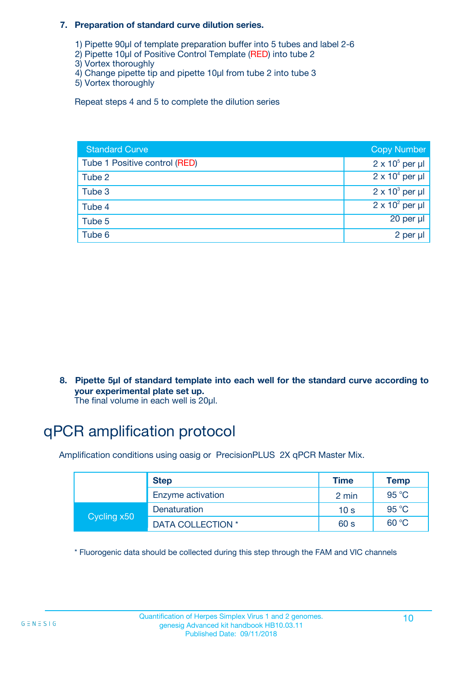#### **7. Preparation of standard curve dilution series.**

- 1) Pipette 90µl of template preparation buffer into 5 tubes and label 2-6
- 2) Pipette 10µl of Positive Control Template (RED) into tube 2
- 3) Vortex thoroughly
- 4) Change pipette tip and pipette 10µl from tube 2 into tube 3
- 5) Vortex thoroughly

Repeat steps 4 and 5 to complete the dilution series

| <b>Standard Curve</b>         | <b>Copy Number</b>     |
|-------------------------------|------------------------|
| Tube 1 Positive control (RED) | $2 \times 10^5$ per µl |
| Tube 2                        | $2 \times 10^4$ per µl |
| Tube 3                        | $2 \times 10^3$ per µl |
| Tube 4                        | $2 \times 10^2$ per µl |
| Tube 5                        | 20 per µl              |
| Tube 6                        | 2 per µl               |

**8. Pipette 5µl of standard template into each well for the standard curve according to your experimental plate set up.**

#### The final volume in each well is 20µl.

# qPCR amplification protocol

Amplification conditions using oasig or PrecisionPLUS 2X qPCR Master Mix.

|             | <b>Step</b>       | <b>Time</b>     | Temp    |
|-------------|-------------------|-----------------|---------|
|             | Enzyme activation | 2 min           | 95 °C   |
| Cycling x50 | Denaturation      | 10 <sub>s</sub> | 95 $°C$ |
|             | DATA COLLECTION * | 60 s            | 60 °C   |

\* Fluorogenic data should be collected during this step through the FAM and VIC channels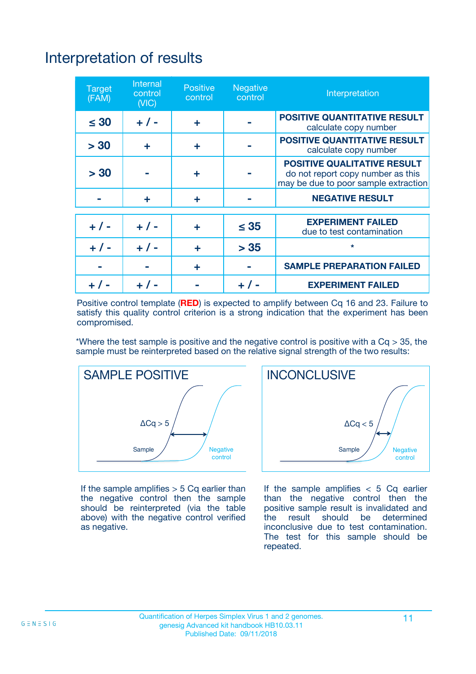# Interpretation of results

| <b>Target</b><br>(FAM) | <b>Internal</b><br>control<br>(NIC) | <b>Positive</b><br>control | <b>Negative</b><br>control | Interpretation                                                                                                  |
|------------------------|-------------------------------------|----------------------------|----------------------------|-----------------------------------------------------------------------------------------------------------------|
| $\leq 30$              | $+ 1 -$                             | ÷                          |                            | <b>POSITIVE QUANTITATIVE RESULT</b><br>calculate copy number                                                    |
| > 30                   | ٠                                   | ÷                          |                            | <b>POSITIVE QUANTITATIVE RESULT</b><br>calculate copy number                                                    |
| > 30                   |                                     | ÷                          |                            | <b>POSITIVE QUALITATIVE RESULT</b><br>do not report copy number as this<br>may be due to poor sample extraction |
|                        | ٠                                   | ÷                          |                            | <b>NEGATIVE RESULT</b>                                                                                          |
| $+ 1 -$                | $+ 1 -$                             | ÷                          | $\leq 35$                  | <b>EXPERIMENT FAILED</b><br>due to test contamination                                                           |
| $+ 1 -$                | $+ 1 -$                             | ÷                          | > 35                       | $\star$                                                                                                         |
|                        |                                     | ÷                          |                            | <b>SAMPLE PREPARATION FAILED</b>                                                                                |
|                        |                                     |                            | $+$ /                      | <b>EXPERIMENT FAILED</b>                                                                                        |

Positive control template (**RED**) is expected to amplify between Cq 16 and 23. Failure to satisfy this quality control criterion is a strong indication that the experiment has been compromised.

\*Where the test sample is positive and the negative control is positive with a  $Ca > 35$ , the sample must be reinterpreted based on the relative signal strength of the two results:



If the sample amplifies  $> 5$  Cq earlier than the negative control then the sample should be reinterpreted (via the table above) with the negative control verified as negative.



If the sample amplifies  $< 5$  Cq earlier than the negative control then the positive sample result is invalidated and<br>the result should be determined  $the$  result should be inconclusive due to test contamination. The test for this sample should be repeated.